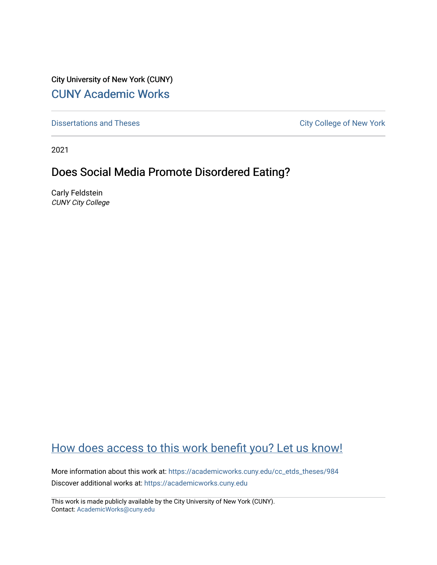City University of New York (CUNY) [CUNY Academic Works](https://academicworks.cuny.edu/) 

[Dissertations and Theses](https://academicworks.cuny.edu/cc_etds_theses) **City College of New York** City College of New York

2021

# Does Social Media Promote Disordered Eating?

Carly Feldstein CUNY City College

# [How does access to this work benefit you? Let us know!](http://ols.cuny.edu/academicworks/?ref=https://academicworks.cuny.edu/cc_etds_theses/984)

More information about this work at: [https://academicworks.cuny.edu/cc\\_etds\\_theses/984](https://academicworks.cuny.edu/cc_etds_theses/984)  Discover additional works at: [https://academicworks.cuny.edu](https://academicworks.cuny.edu/?)

This work is made publicly available by the City University of New York (CUNY). Contact: [AcademicWorks@cuny.edu](mailto:AcademicWorks@cuny.edu)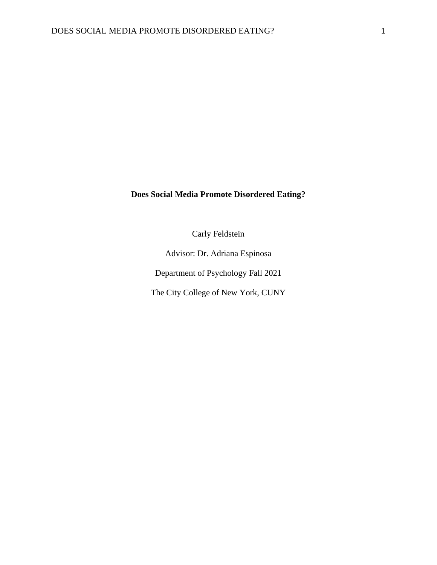## **Does Social Media Promote Disordered Eating?**

Carly Feldstein

Advisor: Dr. Adriana Espinosa

Department of Psychology Fall 2021

The City College of New York, CUNY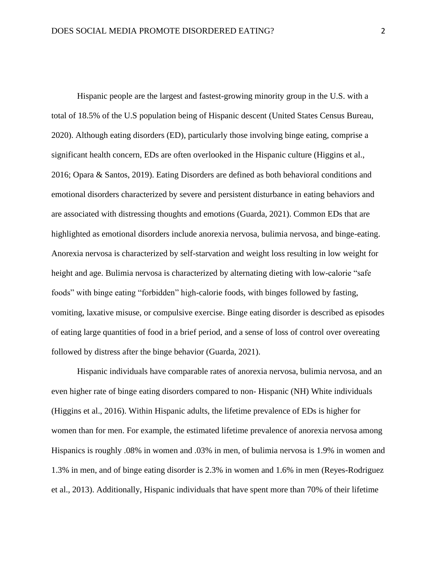Hispanic people are the largest and fastest-growing minority group in the U.S. with a total of 18.5% of the U.S population being of Hispanic descent (United States Census Bureau, 2020). Although eating disorders (ED), particularly those involving binge eating, comprise a significant health concern, EDs are often overlooked in the Hispanic culture (Higgins et al., 2016; Opara & Santos, 2019). Eating Disorders are defined as both behavioral conditions and emotional disorders characterized by severe and persistent disturbance in eating behaviors and are associated with distressing thoughts and emotions (Guarda, 2021). Common EDs that are highlighted as emotional disorders include anorexia nervosa, bulimia nervosa, and binge-eating. Anorexia nervosa is characterized by self-starvation and weight loss resulting in low weight for height and age. Bulimia nervosa is characterized by alternating dieting with low-calorie "safe foods" with binge eating "forbidden" high-calorie foods, with binges followed by fasting, vomiting, laxative misuse, or compulsive exercise. Binge eating disorder is described as episodes of eating large quantities of food in a brief period, and a sense of loss of control over overeating followed by distress after the binge behavior (Guarda, 2021).

Hispanic individuals have comparable rates of anorexia nervosa, bulimia nervosa, and an even higher rate of binge eating disorders compared to non- Hispanic (NH) White individuals (Higgins et al., 2016). Within Hispanic adults, the lifetime prevalence of EDs is higher for women than for men. For example, the estimated lifetime prevalence of anorexia nervosa among Hispanics is roughly .08% in women and .03% in men, of bulimia nervosa is 1.9% in women and 1.3% in men, and of binge eating disorder is 2.3% in women and 1.6% in men (Reyes-Rodriguez et al., 2013). Additionally, Hispanic individuals that have spent more than 70% of their lifetime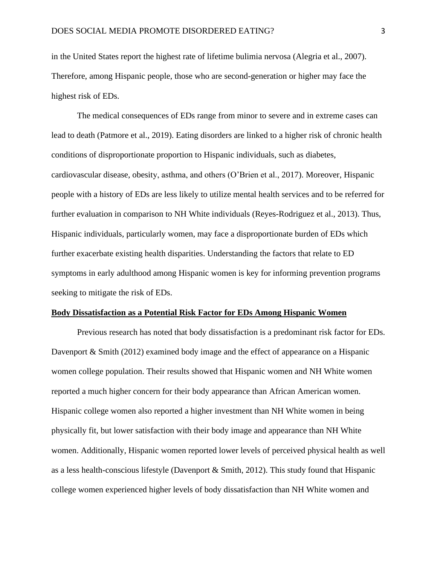in the United States report the highest rate of lifetime bulimia nervosa (Alegria et al., 2007). Therefore, among Hispanic people, those who are second-generation or higher may face the highest risk of EDs.

The medical consequences of EDs range from minor to severe and in extreme cases can lead to death (Patmore et al., 2019). Eating disorders are linked to a higher risk of chronic health conditions of disproportionate proportion to Hispanic individuals, such as diabetes, cardiovascular disease, obesity, asthma, and others (O'Brien et al., 2017). Moreover, Hispanic people with a history of EDs are less likely to utilize mental health services and to be referred for further evaluation in comparison to NH White individuals (Reyes-Rodriguez et al., 2013). Thus, Hispanic individuals, particularly women, may face a disproportionate burden of EDs which further exacerbate existing health disparities. Understanding the factors that relate to ED symptoms in early adulthood among Hispanic women is key for informing prevention programs seeking to mitigate the risk of EDs.

#### **Body Dissatisfaction as a Potential Risk Factor for EDs Among Hispanic Women**

Previous research has noted that body dissatisfaction is a predominant risk factor for EDs. Davenport  $\&$  Smith (2012) examined body image and the effect of appearance on a Hispanic women college population. Their results showed that Hispanic women and NH White women reported a much higher concern for their body appearance than African American women. Hispanic college women also reported a higher investment than NH White women in being physically fit, but lower satisfaction with their body image and appearance than NH White women. Additionally, Hispanic women reported lower levels of perceived physical health as well as a less health-conscious lifestyle (Davenport & Smith, 2012). This study found that Hispanic college women experienced higher levels of body dissatisfaction than NH White women and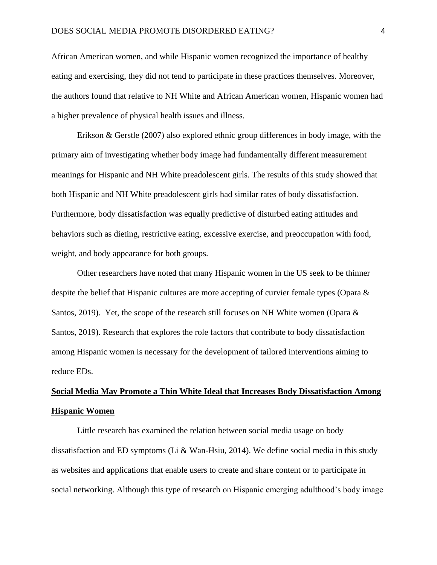African American women, and while Hispanic women recognized the importance of healthy eating and exercising, they did not tend to participate in these practices themselves. Moreover, the authors found that relative to NH White and African American women, Hispanic women had a higher prevalence of physical health issues and illness.

Erikson & Gerstle (2007) also explored ethnic group differences in body image, with the primary aim of investigating whether body image had fundamentally different measurement meanings for Hispanic and NH White preadolescent girls. The results of this study showed that both Hispanic and NH White preadolescent girls had similar rates of body dissatisfaction. Furthermore, body dissatisfaction was equally predictive of disturbed eating attitudes and behaviors such as dieting, restrictive eating, excessive exercise, and preoccupation with food, weight, and body appearance for both groups.

Other researchers have noted that many Hispanic women in the US seek to be thinner despite the belief that Hispanic cultures are more accepting of curvier female types (Opara & Santos, 2019). Yet, the scope of the research still focuses on NH White women (Opara  $\&$ Santos, 2019). Research that explores the role factors that contribute to body dissatisfaction among Hispanic women is necessary for the development of tailored interventions aiming to reduce EDs.

# **Social Media May Promote a Thin White Ideal that Increases Body Dissatisfaction Among Hispanic Women**

Little research has examined the relation between social media usage on body dissatisfaction and ED symptoms (Li & Wan-Hsiu, 2014). We define social media in this study as websites and applications that enable users to create and share content or to participate in social networking. Although this type of research on Hispanic emerging adulthood's body image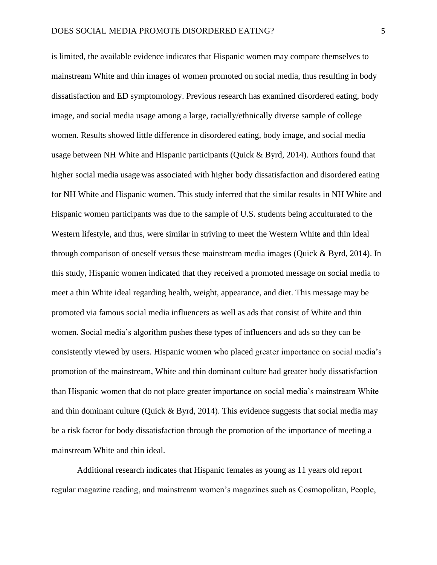is limited, the available evidence indicates that Hispanic women may compare themselves to mainstream White and thin images of women promoted on social media, thus resulting in body dissatisfaction and ED symptomology. Previous research has examined disordered eating, body image, and social media usage among a large, racially/ethnically diverse sample of college women. Results showed little difference in disordered eating, body image, and social media usage between NH White and Hispanic participants (Quick & Byrd, 2014). Authors found that higher social media usage was associated with higher body dissatisfaction and disordered eating for NH White and Hispanic women. This study inferred that the similar results in NH White and Hispanic women participants was due to the sample of U.S. students being acculturated to the Western lifestyle, and thus, were similar in striving to meet the Western White and thin ideal through comparison of oneself versus these mainstream media images (Quick & Byrd, 2014). In this study, Hispanic women indicated that they received a promoted message on social media to meet a thin White ideal regarding health, weight, appearance, and diet. This message may be promoted via famous social media influencers as well as ads that consist of White and thin women. Social media's algorithm pushes these types of influencers and ads so they can be consistently viewed by users. Hispanic women who placed greater importance on social media's promotion of the mainstream, White and thin dominant culture had greater body dissatisfaction than Hispanic women that do not place greater importance on social media's mainstream White and thin dominant culture (Quick & Byrd, 2014). This evidence suggests that social media may be a risk factor for body dissatisfaction through the promotion of the importance of meeting a mainstream White and thin ideal.

Additional research indicates that Hispanic females as young as 11 years old report regular magazine reading, and mainstream women's magazines such as Cosmopolitan, People,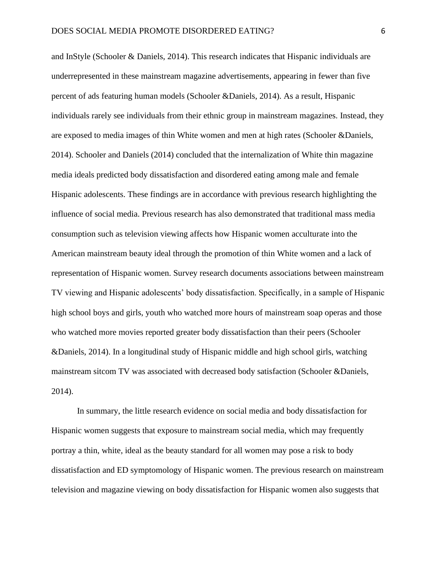and InStyle (Schooler & Daniels, 2014). This research indicates that Hispanic individuals are underrepresented in these mainstream magazine advertisements, appearing in fewer than five percent of ads featuring human models (Schooler &Daniels, 2014). As a result, Hispanic individuals rarely see individuals from their ethnic group in mainstream magazines. Instead, they are exposed to media images of thin White women and men at high rates (Schooler &Daniels, 2014). Schooler and Daniels (2014) concluded that the internalization of White thin magazine media ideals predicted body dissatisfaction and disordered eating among male and female Hispanic adolescents. These findings are in accordance with previous research highlighting the influence of social media. Previous research has also demonstrated that traditional mass media consumption such as television viewing affects how Hispanic women acculturate into the American mainstream beauty ideal through the promotion of thin White women and a lack of representation of Hispanic women. Survey research documents associations between mainstream TV viewing and Hispanic adolescents' body dissatisfaction. Specifically, in a sample of Hispanic high school boys and girls, youth who watched more hours of mainstream soap operas and those who watched more movies reported greater body dissatisfaction than their peers (Schooler &Daniels, 2014). In a longitudinal study of Hispanic middle and high school girls, watching mainstream sitcom TV was associated with decreased body satisfaction (Schooler &Daniels, 2014).

In summary, the little research evidence on social media and body dissatisfaction for Hispanic women suggests that exposure to mainstream social media, which may frequently portray a thin, white, ideal as the beauty standard for all women may pose a risk to body dissatisfaction and ED symptomology of Hispanic women. The previous research on mainstream television and magazine viewing on body dissatisfaction for Hispanic women also suggests that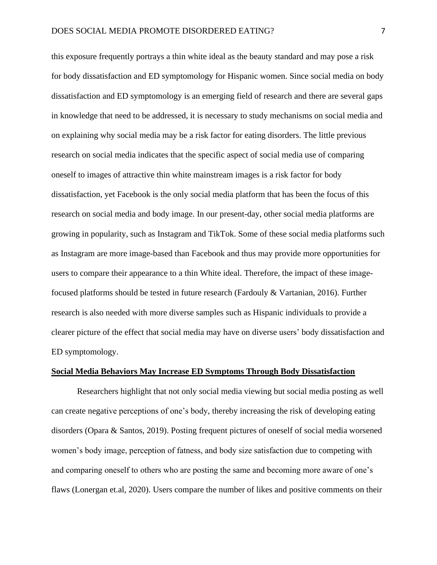this exposure frequently portrays a thin white ideal as the beauty standard and may pose a risk for body dissatisfaction and ED symptomology for Hispanic women. Since social media on body dissatisfaction and ED symptomology is an emerging field of research and there are several gaps in knowledge that need to be addressed, it is necessary to study mechanisms on social media and on explaining why social media may be a risk factor for eating disorders. The little previous research on social media indicates that the specific aspect of social media use of comparing oneself to images of attractive thin white mainstream images is a risk factor for body dissatisfaction, yet Facebook is the only social media platform that has been the focus of this research on social media and body image. In our present-day, other social media platforms are growing in popularity, such as Instagram and TikTok. Some of these social media platforms such as Instagram are more image-based than Facebook and thus may provide more opportunities for users to compare their appearance to a thin White ideal. Therefore, the impact of these imagefocused platforms should be tested in future research (Fardouly & Vartanian, 2016). Further research is also needed with more diverse samples such as Hispanic individuals to provide a clearer picture of the effect that social media may have on diverse users' body dissatisfaction and ED symptomology.

### **Social Media Behaviors May Increase ED Symptoms Through Body Dissatisfaction**

Researchers highlight that not only social media viewing but social media posting as well can create negative perceptions of one's body, thereby increasing the risk of developing eating disorders (Opara & Santos, 2019). Posting frequent pictures of oneself of social media worsened women's body image, perception of fatness, and body size satisfaction due to competing with and comparing oneself to others who are posting the same and becoming more aware of one's flaws (Lonergan et.al, 2020). Users compare the number of likes and positive comments on their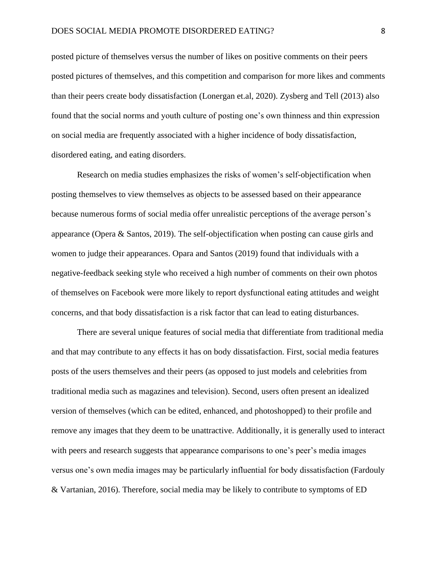posted picture of themselves versus the number of likes on positive comments on their peers posted pictures of themselves, and this competition and comparison for more likes and comments than their peers create body dissatisfaction (Lonergan et.al, 2020). Zysberg and Tell (2013) also found that the social norms and youth culture of posting one's own thinness and thin expression on social media are frequently associated with a higher incidence of body dissatisfaction, disordered eating, and eating disorders.

Research on media studies emphasizes the risks of women's self-objectification when posting themselves to view themselves as objects to be assessed based on their appearance because numerous forms of social media offer unrealistic perceptions of the average person's appearance (Opera & Santos, 2019). The self-objectification when posting can cause girls and women to judge their appearances. Opara and Santos (2019) found that individuals with a negative-feedback seeking style who received a high number of comments on their own photos of themselves on Facebook were more likely to report dysfunctional eating attitudes and weight concerns, and that body dissatisfaction is a risk factor that can lead to eating disturbances.

There are several unique features of social media that differentiate from traditional media and that may contribute to any effects it has on body dissatisfaction. First, social media features posts of the users themselves and their peers (as opposed to just models and celebrities from traditional media such as magazines and television). Second, users often present an idealized version of themselves (which can be edited, enhanced, and photoshopped) to their profile and remove any images that they deem to be unattractive. Additionally, it is generally used to interact with peers and research suggests that appearance comparisons to one's peer's media images versus one's own media images may be particularly influential for body dissatisfaction (Fardouly & Vartanian, 2016). Therefore, social media may be likely to contribute to symptoms of ED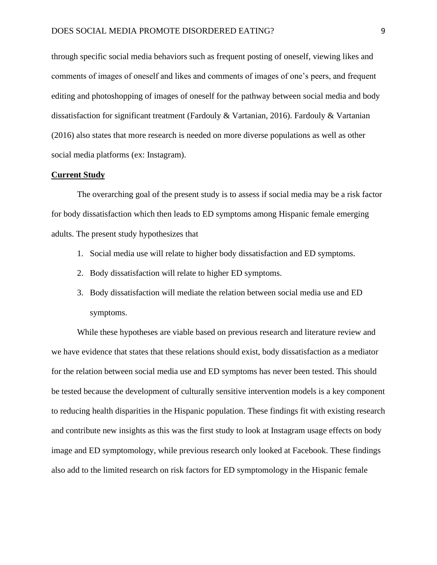through specific social media behaviors such as frequent posting of oneself, viewing likes and comments of images of oneself and likes and comments of images of one's peers, and frequent editing and photoshopping of images of oneself for the pathway between social media and body dissatisfaction for significant treatment (Fardouly & Vartanian, 2016). Fardouly & Vartanian (2016) also states that more research is needed on more diverse populations as well as other social media platforms (ex: Instagram).

#### **Current Study**

The overarching goal of the present study is to assess if social media may be a risk factor for body dissatisfaction which then leads to ED symptoms among Hispanic female emerging adults. The present study hypothesizes that

- 1. Social media use will relate to higher body dissatisfaction and ED symptoms.
- 2. Body dissatisfaction will relate to higher ED symptoms.
- 3. Body dissatisfaction will mediate the relation between social media use and ED symptoms.

While these hypotheses are viable based on previous research and literature review and we have evidence that states that these relations should exist, body dissatisfaction as a mediator for the relation between social media use and ED symptoms has never been tested. This should be tested because the development of culturally sensitive intervention models is a key component to reducing health disparities in the Hispanic population. These findings fit with existing research and contribute new insights as this was the first study to look at Instagram usage effects on body image and ED symptomology, while previous research only looked at Facebook. These findings also add to the limited research on risk factors for ED symptomology in the Hispanic female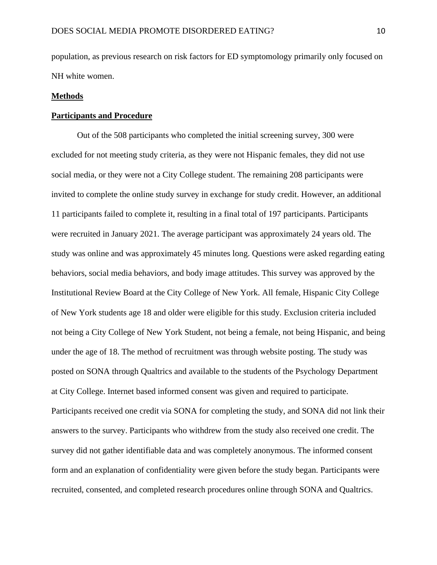population, as previous research on risk factors for ED symptomology primarily only focused on NH white women.

#### **Methods**

### **Participants and Procedure**

Out of the 508 participants who completed the initial screening survey, 300 were excluded for not meeting study criteria, as they were not Hispanic females, they did not use social media, or they were not a City College student. The remaining 208 participants were invited to complete the online study survey in exchange for study credit. However, an additional 11 participants failed to complete it, resulting in a final total of 197 participants. Participants were recruited in January 2021. The average participant was approximately 24 years old. The study was online and was approximately 45 minutes long. Questions were asked regarding eating behaviors, social media behaviors, and body image attitudes. This survey was approved by the Institutional Review Board at the City College of New York. All female, Hispanic City College of New York students age 18 and older were eligible for this study. Exclusion criteria included not being a City College of New York Student, not being a female, not being Hispanic, and being under the age of 18. The method of recruitment was through website posting. The study was posted on SONA through Qualtrics and available to the students of the Psychology Department at City College. Internet based informed consent was given and required to participate. Participants received one credit via SONA for completing the study, and SONA did not link their answers to the survey. Participants who withdrew from the study also received one credit. The survey did not gather identifiable data and was completely anonymous. The informed consent form and an explanation of confidentiality were given before the study began. Participants were recruited, consented, and completed research procedures online through SONA and Qualtrics.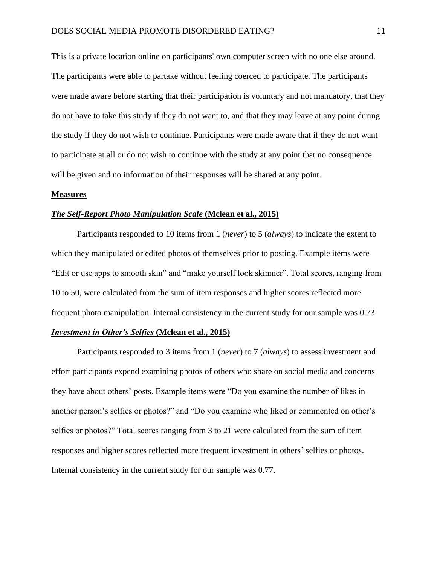This is a private location online on participants' own computer screen with no one else around. The participants were able to partake without feeling coerced to participate. The participants were made aware before starting that their participation is voluntary and not mandatory, that they do not have to take this study if they do not want to, and that they may leave at any point during the study if they do not wish to continue. Participants were made aware that if they do not want to participate at all or do not wish to continue with the study at any point that no consequence will be given and no information of their responses will be shared at any point.

### **Measures**

### *The Self-Report Photo Manipulation Scale* **(Mclean et al., 2015)**

Participants responded to 10 items from 1 (*never*) to 5 (*always*) to indicate the extent to which they manipulated or edited photos of themselves prior to posting. Example items were "Edit or use apps to smooth skin" and "make yourself look skinnier". Total scores, ranging from 10 to 50, were calculated from the sum of item responses and higher scores reflected more frequent photo manipulation. Internal consistency in the current study for our sample was 0.73.

### *Investment in Other's Selfies* **(Mclean et al., 2015)**

Participants responded to 3 items from 1 (*never*) to 7 (*always*) to assess investment and effort participants expend examining photos of others who share on social media and concerns they have about others' posts. Example items were "Do you examine the number of likes in another person's selfies or photos?" and "Do you examine who liked or commented on other's selfies or photos?" Total scores ranging from 3 to 21 were calculated from the sum of item responses and higher scores reflected more frequent investment in others' selfies or photos. Internal consistency in the current study for our sample was 0.77.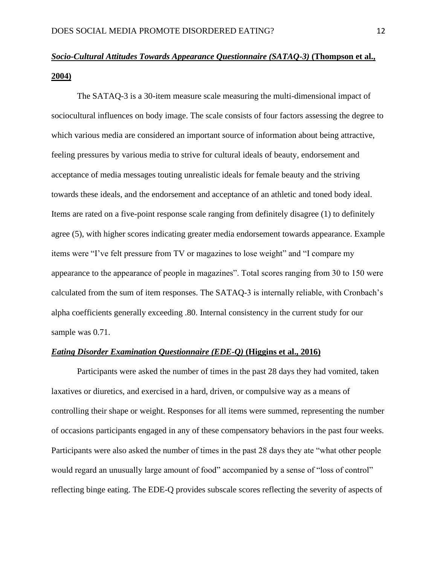# *Socio-Cultural Attitudes Towards Appearance Questionnaire (SATAQ-3)* **(Thompson et al., 2004)**

The SATAQ-3 is a 30-item measure scale measuring the multi-dimensional impact of sociocultural influences on body image. The scale consists of four factors assessing the degree to which various media are considered an important source of information about being attractive, feeling pressures by various media to strive for cultural ideals of beauty, endorsement and acceptance of media messages touting unrealistic ideals for female beauty and the striving towards these ideals, and the endorsement and acceptance of an athletic and toned body ideal. Items are rated on a five-point response scale ranging from definitely disagree (1) to definitely agree (5), with higher scores indicating greater media endorsement towards appearance. Example items were "I've felt pressure from TV or magazines to lose weight" and "I compare my appearance to the appearance of people in magazines". Total scores ranging from 30 to 150 were calculated from the sum of item responses. The SATAQ-3 is internally reliable, with Cronbach's alpha coefficients generally exceeding .80. Internal consistency in the current study for our sample was 0.71.

### *Eating Disorder Examination Questionnaire (EDE-Q)* **(Higgins et al., 2016)**

Participants were asked the number of times in the past 28 days they had vomited, taken laxatives or diuretics, and exercised in a hard, driven, or compulsive way as a means of controlling their shape or weight. Responses for all items were summed, representing the number of occasions participants engaged in any of these compensatory behaviors in the past four weeks. Participants were also asked the number of times in the past 28 days they ate "what other people would regard an unusually large amount of food" accompanied by a sense of "loss of control" reflecting binge eating. The EDE-Q provides subscale scores reflecting the severity of aspects of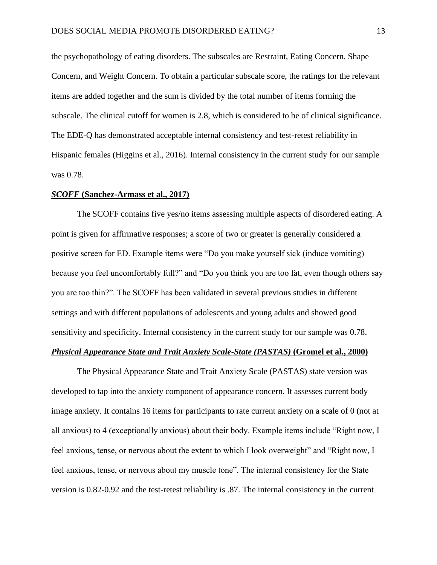the psychopathology of eating disorders. The subscales are Restraint, Eating Concern, Shape Concern, and Weight Concern. To obtain a particular subscale score, the ratings for the relevant items are added together and the sum is divided by the total number of items forming the subscale. The clinical cutoff for women is 2.8, which is considered to be of clinical significance. The EDE-Q has demonstrated acceptable internal consistency and test-retest reliability in Hispanic females (Higgins et al., 2016). Internal consistency in the current study for our sample was 0.78.

#### *SCOFF* **(Sanchez-Armass et al., 2017)**

The SCOFF contains five yes/no items assessing multiple aspects of disordered eating. A point is given for affirmative responses; a score of two or greater is generally considered a positive screen for ED. Example items were "Do you make yourself sick (induce vomiting) because you feel uncomfortably full?" and "Do you think you are too fat, even though others say you are too thin?". The SCOFF has been validated in several previous studies in different settings and with different populations of adolescents and young adults and showed good sensitivity and specificity. Internal consistency in the current study for our sample was 0.78.

### *Physical Appearance State and Trait Anxiety Scale-State (PASTAS)* (Gromel et al., 2000)

The Physical Appearance State and Trait Anxiety Scale (PASTAS) state version was developed to tap into the anxiety component of appearance concern. It assesses current body image anxiety. It contains 16 items for participants to rate current anxiety on a scale of 0 (not at all anxious) to 4 (exceptionally anxious) about their body. Example items include "Right now, I feel anxious, tense, or nervous about the extent to which I look overweight" and "Right now, I feel anxious, tense, or nervous about my muscle tone". The internal consistency for the State version is 0.82-0.92 and the test-retest reliability is .87. The internal consistency in the current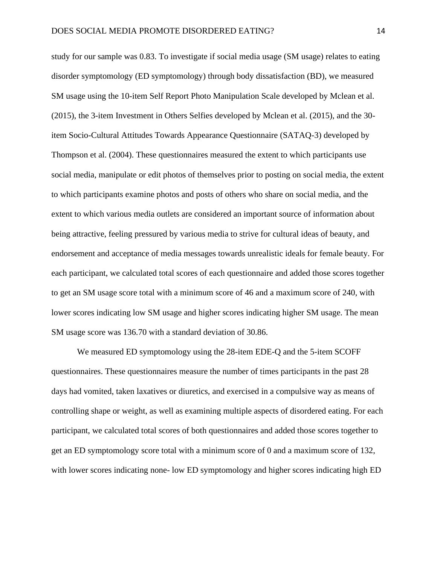study for our sample was 0.83. To investigate if social media usage (SM usage) relates to eating disorder symptomology (ED symptomology) through body dissatisfaction (BD), we measured SM usage using the 10-item Self Report Photo Manipulation Scale developed by Mclean et al. (2015), the 3-item Investment in Others Selfies developed by Mclean et al. (2015), and the 30 item Socio-Cultural Attitudes Towards Appearance Questionnaire (SATAQ-3) developed by Thompson et al. (2004). These questionnaires measured the extent to which participants use social media, manipulate or edit photos of themselves prior to posting on social media, the extent to which participants examine photos and posts of others who share on social media, and the extent to which various media outlets are considered an important source of information about being attractive, feeling pressured by various media to strive for cultural ideas of beauty, and endorsement and acceptance of media messages towards unrealistic ideals for female beauty. For each participant, we calculated total scores of each questionnaire and added those scores together to get an SM usage score total with a minimum score of 46 and a maximum score of 240, with lower scores indicating low SM usage and higher scores indicating higher SM usage. The mean SM usage score was 136.70 with a standard deviation of 30.86.

We measured ED symptomology using the 28-item EDE-Q and the 5-item SCOFF questionnaires. These questionnaires measure the number of times participants in the past 28 days had vomited, taken laxatives or diuretics, and exercised in a compulsive way as means of controlling shape or weight, as well as examining multiple aspects of disordered eating. For each participant, we calculated total scores of both questionnaires and added those scores together to get an ED symptomology score total with a minimum score of 0 and a maximum score of 132, with lower scores indicating none- low ED symptomology and higher scores indicating high ED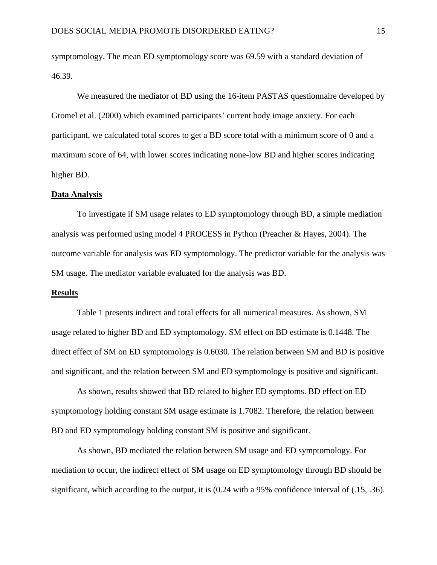symptomology. The mean ED symptomology score was 69.59 with a standard deviation of 46.39.

We measured the mediator of BD using the 16-item PASTAS questionnaire developed by Gromel et al. (2000) which examined participants' current body image anxiety. For each participant, we calculated total scores to get a BD score total with a minimum score of 0 and a maximum score of 64, with lower scores indicating none-low BD and higher scores indicating higher BD.

### **Data Analysis**

To investigate if SM usage relates to ED symptomology through BD, a simple mediation analysis was performed using model 4 PROCESS in Python (Preacher & Hayes, 2004). The outcome variable for analysis was ED symptomology. The predictor variable for the analysis was SM usage. The mediator variable evaluated for the analysis was BD.

### **Results**

Table 1 presents indirect and total effects for all numerical measures. As shown, SM usage related to higher BD and ED symptomology. SM effect on BD estimate is 0.1448. The direct effect of SM on ED symptomology is 0.6030. The relation between SM and BD is positive and significant, and the relation between SM and ED symptomology is positive and significant.

As shown, results showed that BD related to higher ED symptoms. BD effect on ED symptomology holding constant SM usage estimate is 1.7082. Therefore, the relation between BD and ED symptomology holding constant SM is positive and significant.

As shown, BD mediated the relation between SM usage and ED symptomology. For mediation to occur, the indirect effect of SM usage on ED symptomology through BD should be significant, which according to the output, it is (0.24 with a 95% confidence interval of (.15, .36).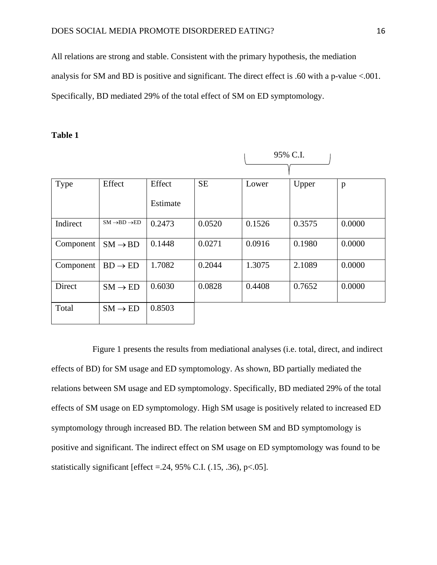All relations are strong and stable. Consistent with the primary hypothesis, the mediation analysis for SM and BD is positive and significant. The direct effect is .60 with a p-value <.001. Specifically, BD mediated 29% of the total effect of SM on ED symptomology.

### **Table 1**

|           |                                    |          |           | 95% C.I. |        |        |
|-----------|------------------------------------|----------|-----------|----------|--------|--------|
|           |                                    |          |           |          |        |        |
| Type      | Effect                             | Effect   | <b>SE</b> | Lower    | Upper  | p      |
|           |                                    | Estimate |           |          |        |        |
| Indirect  | $SM \rightarrow BD \rightarrow ED$ | 0.2473   | 0.0520    | 0.1526   | 0.3575 | 0.0000 |
| Component | $SM \rightarrow BD$                | 0.1448   | 0.0271    | 0.0916   | 0.1980 | 0.0000 |
| Component | $BD \rightarrow ED$                | 1.7082   | 0.2044    | 1.3075   | 2.1089 | 0.0000 |
| Direct    | $SM \rightarrow ED$                | 0.6030   | 0.0828    | 0.4408   | 0.7652 | 0.0000 |
| Total     | $SM \rightarrow ED$                | 0.8503   |           |          |        |        |

Figure 1 presents the results from mediational analyses (i.e. total, direct, and indirect effects of BD) for SM usage and ED symptomology. As shown, BD partially mediated the relations between SM usage and ED symptomology. Specifically, BD mediated 29% of the total effects of SM usage on ED symptomology. High SM usage is positively related to increased ED symptomology through increased BD. The relation between SM and BD symptomology is positive and significant. The indirect effect on SM usage on ED symptomology was found to be statistically significant [effect  $=$  24, 95% C.I. (.15, .36), p<.05].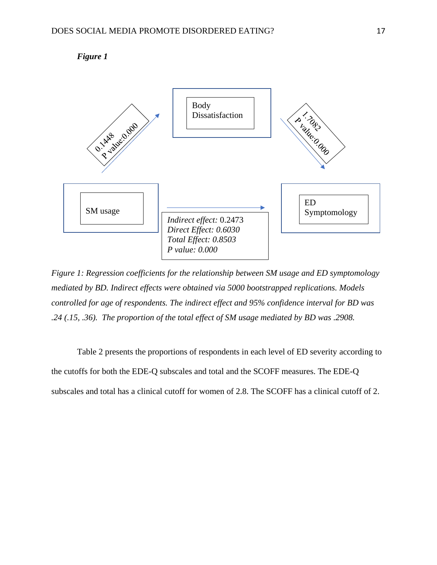



*Figure 1: Regression coefficients for the relationship between SM usage and ED symptomology mediated by BD. Indirect effects were obtained via 5000 bootstrapped replications. Models controlled for age of respondents. The indirect effect and 95% confidence interval for BD was .24 (.15, .36). The proportion of the total effect of SM usage mediated by BD was .2908.*

Table 2 presents the proportions of respondents in each level of ED severity according to the cutoffs for both the EDE-Q subscales and total and the SCOFF measures. The EDE-Q subscales and total has a clinical cutoff for women of 2.8. The SCOFF has a clinical cutoff of 2.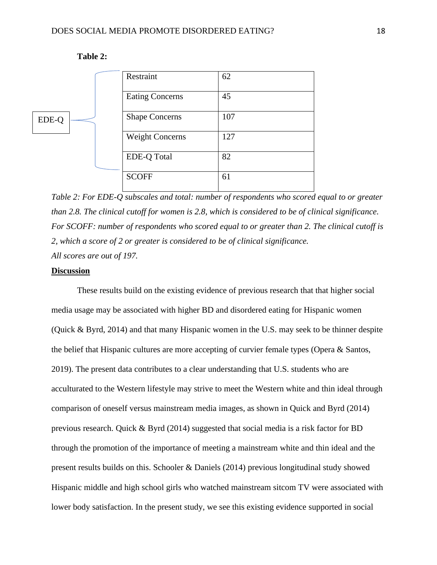

### **Table 2:**

*Table 2: For EDE-Q subscales and total: number of respondents who scored equal to or greater than 2.8. The clinical cutoff for women is 2.8, which is considered to be of clinical significance. For SCOFF: number of respondents who scored equal to or greater than 2. The clinical cutoff is 2, which a score of 2 or greater is considered to be of clinical significance. All scores are out of 197.* 

### **Discussion**

These results build on the existing evidence of previous research that that higher social media usage may be associated with higher BD and disordered eating for Hispanic women (Quick & Byrd, 2014) and that many Hispanic women in the U.S. may seek to be thinner despite the belief that Hispanic cultures are more accepting of curvier female types (Opera & Santos, 2019). The present data contributes to a clear understanding that U.S. students who are acculturated to the Western lifestyle may strive to meet the Western white and thin ideal through comparison of oneself versus mainstream media images, as shown in Quick and Byrd (2014) previous research. Quick & Byrd (2014) suggested that social media is a risk factor for BD through the promotion of the importance of meeting a mainstream white and thin ideal and the present results builds on this. Schooler & Daniels (2014) previous longitudinal study showed Hispanic middle and high school girls who watched mainstream sitcom TV were associated with lower body satisfaction. In the present study, we see this existing evidence supported in social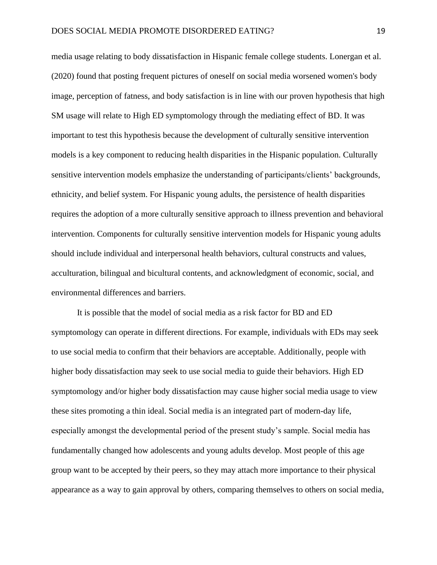media usage relating to body dissatisfaction in Hispanic female college students. Lonergan et al. (2020) found that posting frequent pictures of oneself on social media worsened women's body image, perception of fatness, and body satisfaction is in line with our proven hypothesis that high SM usage will relate to High ED symptomology through the mediating effect of BD. It was important to test this hypothesis because the development of culturally sensitive intervention models is a key component to reducing health disparities in the Hispanic population. Culturally sensitive intervention models emphasize the understanding of participants/clients' backgrounds, ethnicity, and belief system. For Hispanic young adults, the persistence of health disparities requires the adoption of a more culturally sensitive approach to illness prevention and behavioral intervention. Components for culturally sensitive intervention models for Hispanic young adults should include individual and interpersonal health behaviors, cultural constructs and values, acculturation, bilingual and bicultural contents, and acknowledgment of economic, social, and environmental differences and barriers.

It is possible that the model of social media as a risk factor for BD and ED symptomology can operate in different directions. For example, individuals with EDs may seek to use social media to confirm that their behaviors are acceptable. Additionally, people with higher body dissatisfaction may seek to use social media to guide their behaviors. High ED symptomology and/or higher body dissatisfaction may cause higher social media usage to view these sites promoting a thin ideal. Social media is an integrated part of modern-day life, especially amongst the developmental period of the present study's sample. Social media has fundamentally changed how adolescents and young adults develop. Most people of this age group want to be accepted by their peers, so they may attach more importance to their physical appearance as a way to gain approval by others, comparing themselves to others on social media,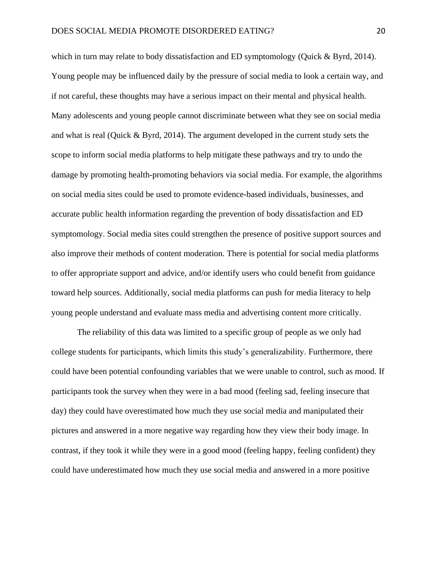which in turn may relate to body dissatisfaction and ED symptomology (Quick & Byrd, 2014). Young people may be influenced daily by the pressure of social media to look a certain way, and if not careful, these thoughts may have a serious impact on their mental and physical health. Many adolescents and young people cannot discriminate between what they see on social media and what is real (Quick & Byrd, 2014). The argument developed in the current study sets the scope to inform social media platforms to help mitigate these pathways and try to undo the damage by promoting health-promoting behaviors via social media. For example, the algorithms on social media sites could be used to promote evidence-based individuals, businesses, and accurate public health information regarding the prevention of body dissatisfaction and ED symptomology. Social media sites could strengthen the presence of positive support sources and also improve their methods of content moderation. There is potential for social media platforms to offer appropriate support and advice, and/or identify users who could benefit from guidance toward help sources. Additionally, social media platforms can push for media literacy to help young people understand and evaluate mass media and advertising content more critically.

The reliability of this data was limited to a specific group of people as we only had college students for participants, which limits this study's generalizability. Furthermore, there could have been potential confounding variables that we were unable to control, such as mood. If participants took the survey when they were in a bad mood (feeling sad, feeling insecure that day) they could have overestimated how much they use social media and manipulated their pictures and answered in a more negative way regarding how they view their body image. In contrast, if they took it while they were in a good mood (feeling happy, feeling confident) they could have underestimated how much they use social media and answered in a more positive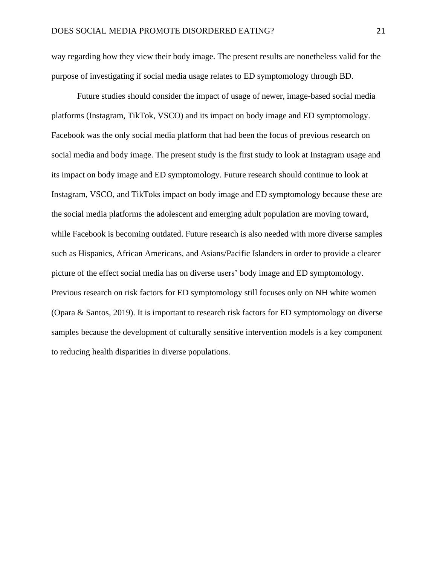way regarding how they view their body image. The present results are nonetheless valid for the purpose of investigating if social media usage relates to ED symptomology through BD.

Future studies should consider the impact of usage of newer, image-based social media platforms (Instagram, TikTok, VSCO) and its impact on body image and ED symptomology. Facebook was the only social media platform that had been the focus of previous research on social media and body image. The present study is the first study to look at Instagram usage and its impact on body image and ED symptomology. Future research should continue to look at Instagram, VSCO, and TikToks impact on body image and ED symptomology because these are the social media platforms the adolescent and emerging adult population are moving toward, while Facebook is becoming outdated. Future research is also needed with more diverse samples such as Hispanics, African Americans, and Asians/Pacific Islanders in order to provide a clearer picture of the effect social media has on diverse users' body image and ED symptomology. Previous research on risk factors for ED symptomology still focuses only on NH white women (Opara & Santos, 2019). It is important to research risk factors for ED symptomology on diverse samples because the development of culturally sensitive intervention models is a key component to reducing health disparities in diverse populations.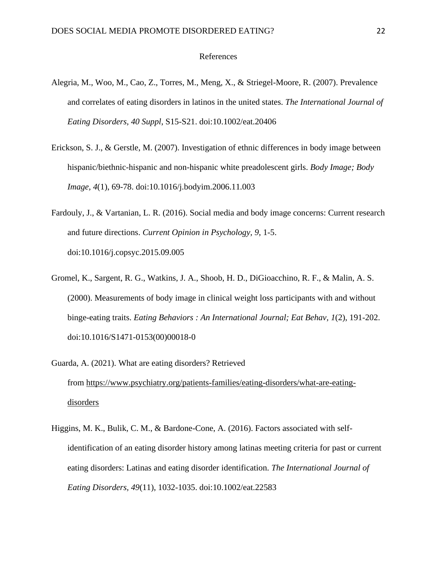### References

- Alegria, M., Woo, M., Cao, Z., Torres, M., Meng, X., & Striegel-Moore, R. (2007). Prevalence and correlates of eating disorders in latinos in the united states. *The International Journal of Eating Disorders, 40 Suppl*, S15-S21. doi:10.1002/eat.20406
- Erickson, S. J., & Gerstle, M. (2007). Investigation of ethnic differences in body image between hispanic/biethnic-hispanic and non-hispanic white preadolescent girls. *Body Image; Body Image, 4*(1), 69-78. doi:10.1016/j.bodyim.2006.11.003
- Fardouly, J., & Vartanian, L. R. (2016). Social media and body image concerns: Current research and future directions. *Current Opinion in Psychology, 9*, 1-5. doi:10.1016/j.copsyc.2015.09.005
- Gromel, K., Sargent, R. G., Watkins, J. A., Shoob, H. D., DiGioacchino, R. F., & Malin, A. S. (2000). Measurements of body image in clinical weight loss participants with and without binge-eating traits. *Eating Behaviors : An International Journal; Eat Behav, 1*(2), 191-202. doi:10.1016/S1471-0153(00)00018-0
- Guarda, A. (2021). What are eating disorders? Retrieved from [https://www.psychiatry.org/patients-families/eating-disorders/what-are-eating](https://www.psychiatry.org/patients-families/eating-disorders/what-are-eating-disorders)[disorders](https://www.psychiatry.org/patients-families/eating-disorders/what-are-eating-disorders)
- Higgins, M. K., Bulik, C. M., & Bardone-Cone, A. (2016). Factors associated with selfidentification of an eating disorder history among latinas meeting criteria for past or current eating disorders: Latinas and eating disorder identification. *The International Journal of Eating Disorders, 49*(11), 1032-1035. doi:10.1002/eat.22583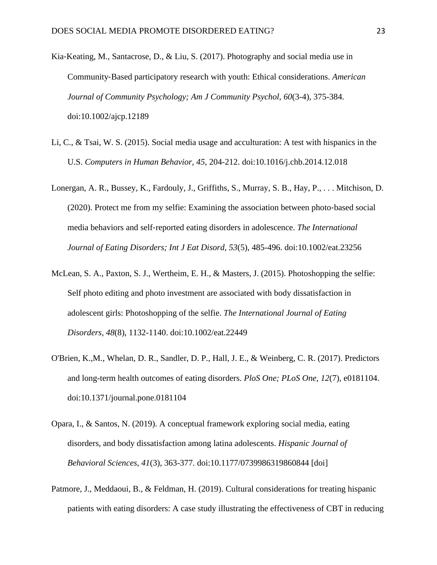- Kia‐Keating, M., Santacrose, D., & Liu, S. (2017). Photography and social media use in Community‐Based participatory research with youth: Ethical considerations. *American Journal of Community Psychology; Am J Community Psychol, 60*(3-4), 375-384. doi:10.1002/ajcp.12189
- Li, C., & Tsai, W. S. (2015). Social media usage and acculturation: A test with hispanics in the U.S. *Computers in Human Behavior, 45*, 204-212. doi:10.1016/j.chb.2014.12.018
- Lonergan, A. R., Bussey, K., Fardouly, J., Griffiths, S., Murray, S. B., Hay, P., . . . Mitchison, D. (2020). Protect me from my selfie: Examining the association between photo‐based social media behaviors and self‐reported eating disorders in adolescence. *The International Journal of Eating Disorders; Int J Eat Disord, 53*(5), 485-496. doi:10.1002/eat.23256
- McLean, S. A., Paxton, S. J., Wertheim, E. H., & Masters, J. (2015). Photoshopping the selfie: Self photo editing and photo investment are associated with body dissatisfaction in adolescent girls: Photoshopping of the selfie. *The International Journal of Eating Disorders, 48*(8), 1132-1140. doi:10.1002/eat.22449
- O'Brien, K.,M., Whelan, D. R., Sandler, D. P., Hall, J. E., & Weinberg, C. R. (2017). Predictors and long-term health outcomes of eating disorders. *PloS One; PLoS One, 12*(7), e0181104. doi:10.1371/journal.pone.0181104
- Opara, I., & Santos, N. (2019). A conceptual framework exploring social media, eating disorders, and body dissatisfaction among latina adolescents. *Hispanic Journal of Behavioral Sciences, 41*(3), 363-377. doi:10.1177/0739986319860844 [doi]
- Patmore, J., Meddaoui, B., & Feldman, H. (2019). Cultural considerations for treating hispanic patients with eating disorders: A case study illustrating the effectiveness of CBT in reducing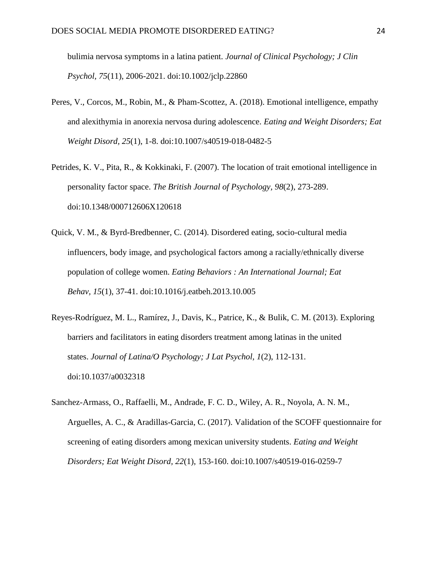bulimia nervosa symptoms in a latina patient. *Journal of Clinical Psychology; J Clin Psychol, 75*(11), 2006-2021. doi:10.1002/jclp.22860

- Peres, V., Corcos, M., Robin, M., & Pham-Scottez, A. (2018). Emotional intelligence, empathy and alexithymia in anorexia nervosa during adolescence. *Eating and Weight Disorders; Eat Weight Disord, 25*(1), 1-8. doi:10.1007/s40519-018-0482-5
- Petrides, K. V., Pita, R., & Kokkinaki, F. (2007). The location of trait emotional intelligence in personality factor space. *The British Journal of Psychology, 98*(2), 273-289. doi:10.1348/000712606X120618
- Quick, V. M., & Byrd-Bredbenner, C. (2014). Disordered eating, socio-cultural media influencers, body image, and psychological factors among a racially/ethnically diverse population of college women. *Eating Behaviors : An International Journal; Eat Behav, 15*(1), 37-41. doi:10.1016/j.eatbeh.2013.10.005
- Reyes-Rodríguez, M. L., Ramírez, J., Davis, K., Patrice, K., & Bulik, C. M. (2013). Exploring barriers and facilitators in eating disorders treatment among latinas in the united states. *Journal of Latina/O Psychology; J Lat Psychol, 1*(2), 112-131. doi:10.1037/a0032318
- Sanchez-Armass, O., Raffaelli, M., Andrade, F. C. D., Wiley, A. R., Noyola, A. N. M., Arguelles, A. C., & Aradillas-Garcia, C. (2017). Validation of the SCOFF questionnaire for screening of eating disorders among mexican university students. *Eating and Weight Disorders; Eat Weight Disord, 22*(1), 153-160. doi:10.1007/s40519-016-0259-7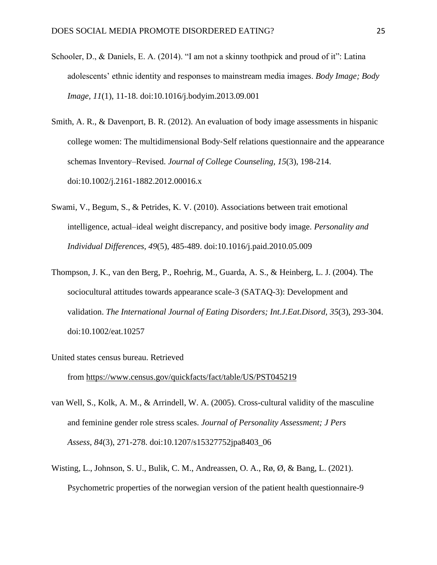- Schooler, D., & Daniels, E. A. (2014). "I am not a skinny toothpick and proud of it": Latina adolescents' ethnic identity and responses to mainstream media images. *Body Image; Body Image, 11*(1), 11-18. doi:10.1016/j.bodyim.2013.09.001
- Smith, A. R., & Davenport, B. R. (2012). An evaluation of body image assessments in hispanic college women: The multidimensional Body‐Self relations questionnaire and the appearance schemas Inventory–Revised. *Journal of College Counseling, 15*(3), 198-214. doi:10.1002/j.2161-1882.2012.00016.x
- Swami, V., Begum, S., & Petrides, K. V. (2010). Associations between trait emotional intelligence, actual–ideal weight discrepancy, and positive body image. *Personality and Individual Differences, 49*(5), 485-489. doi:10.1016/j.paid.2010.05.009
- Thompson, J. K., van den Berg, P., Roehrig, M., Guarda, A. S., & Heinberg, L. J. (2004). The sociocultural attitudes towards appearance scale-3 (SATAQ-3): Development and validation. *The International Journal of Eating Disorders; Int.J.Eat.Disord, 35*(3), 293-304. doi:10.1002/eat.10257
- United states census bureau. Retrieved from <https://www.census.gov/quickfacts/fact/table/US/PST045219>
- van Well, S., Kolk, A. M., & Arrindell, W. A. (2005). Cross-cultural validity of the masculine and feminine gender role stress scales. *Journal of Personality Assessment; J Pers Assess, 84*(3), 271-278. doi:10.1207/s15327752jpa8403\_06
- Wisting, L., Johnson, S. U., Bulik, C. M., Andreassen, O. A., Rø, Ø, & Bang, L. (2021). Psychometric properties of the norwegian version of the patient health questionnaire-9